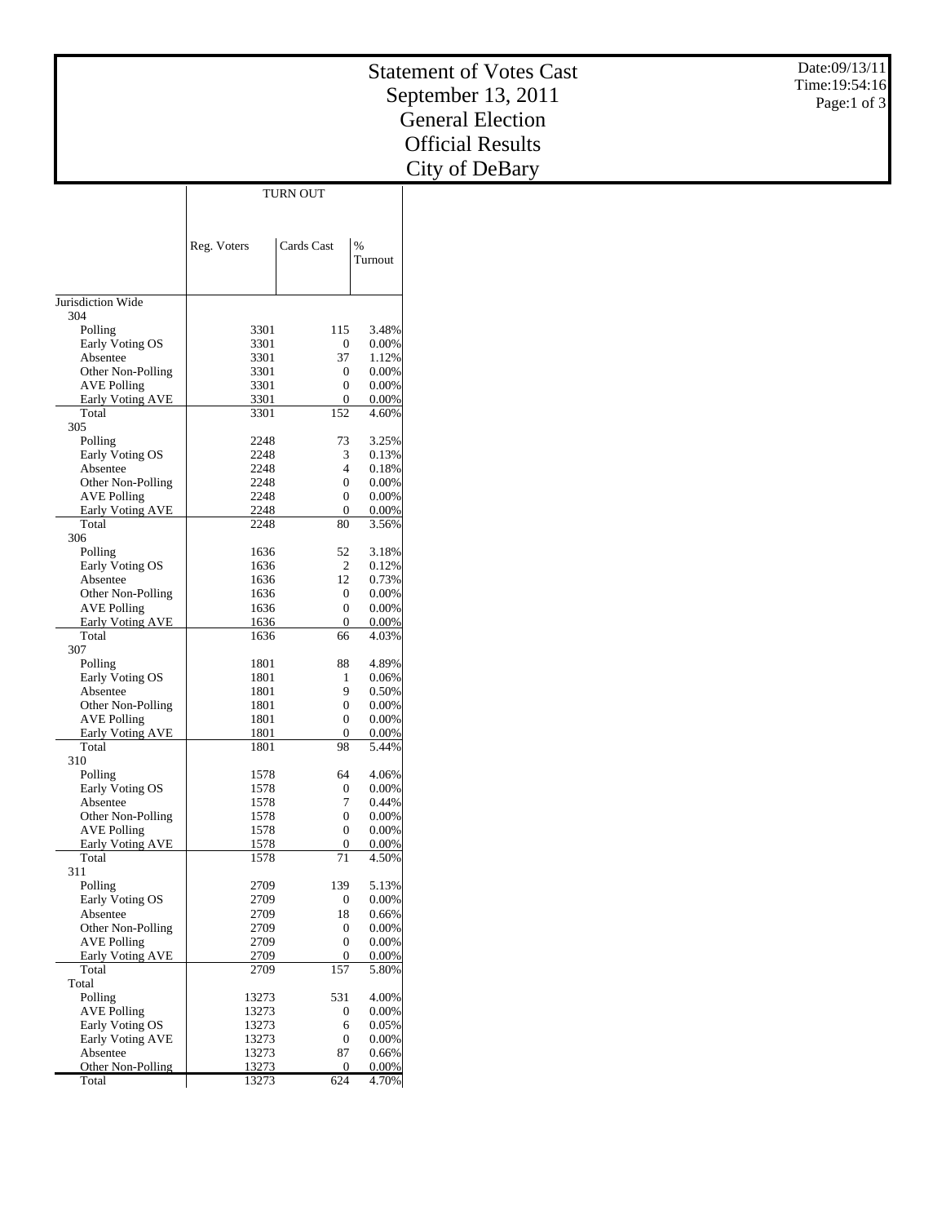|                                       |                |                        |                   | <b>Statement of Votes Cast</b> | Date:09/13/11  |
|---------------------------------------|----------------|------------------------|-------------------|--------------------------------|----------------|
|                                       |                |                        |                   |                                | Time: 19:54:16 |
|                                       |                |                        |                   | September 13, 2011             | Page:1 of 3    |
|                                       |                |                        |                   | <b>General Election</b>        |                |
|                                       |                |                        |                   |                                |                |
|                                       |                |                        |                   | <b>Official Results</b>        |                |
|                                       |                |                        |                   |                                |                |
|                                       |                |                        |                   | City of DeBary                 |                |
|                                       |                | <b>TURN OUT</b>        |                   |                                |                |
|                                       |                |                        |                   |                                |                |
|                                       |                |                        |                   |                                |                |
|                                       | Reg. Voters    | Cards Cast             | $\%$              |                                |                |
|                                       |                |                        | Turnout           |                                |                |
|                                       |                |                        |                   |                                |                |
|                                       |                |                        |                   |                                |                |
| Jurisdiction Wide                     |                |                        |                   |                                |                |
| 304<br>Polling                        | 3301           | 115                    | 3.48%             |                                |                |
| Early Voting OS                       | 3301           | $\mathbf{0}$           | 0.00%             |                                |                |
| Absentee                              | 3301           | 37                     | 1.12%             |                                |                |
| Other Non-Polling                     | 3301           | $\mathbf{0}$           | 0.00%             |                                |                |
| <b>AVE Polling</b>                    | 3301           | $\boldsymbol{0}$       | 0.00%             |                                |                |
| Early Voting AVE                      | 3301           | $\boldsymbol{0}$       | 0.00%             |                                |                |
| Total                                 | 3301           | 152                    | 4.60%             |                                |                |
| 305                                   |                |                        |                   |                                |                |
| Polling<br>Early Voting OS            | 2248<br>2248   | 73<br>3                | 3.25%<br>0.13%    |                                |                |
| Absentee                              | 2248           | $\overline{4}$         | 0.18%             |                                |                |
| Other Non-Polling                     | 2248           | $\boldsymbol{0}$       | 0.00%             |                                |                |
| <b>AVE Polling</b>                    | 2248           | $\boldsymbol{0}$       | 0.00%             |                                |                |
| Early Voting AVE                      | 2248           | $\boldsymbol{0}$       | 0.00%             |                                |                |
| Total                                 | 2248           | 80                     | 3.56%             |                                |                |
| 306                                   |                |                        |                   |                                |                |
| Polling<br>Early Voting OS            | 1636<br>1636   | 52<br>$\sqrt{2}$       | 3.18%<br>0.12%    |                                |                |
| Absentee                              | 1636           | 12                     | 0.73%             |                                |                |
| Other Non-Polling                     | 1636           | $\boldsymbol{0}$       | 0.00%             |                                |                |
| <b>AVE Polling</b>                    | 1636           | $\boldsymbol{0}$       | 0.00%             |                                |                |
| Early Voting AVE                      | 1636           | $\boldsymbol{0}$       | 0.00%             |                                |                |
| Total                                 | 1636           | 66                     | 4.03%             |                                |                |
| 307                                   |                |                        |                   |                                |                |
| Polling                               | 1801           | 88                     | 4.89%             |                                |                |
| Early Voting OS<br>Absentee           | 1801<br>1801   | 1<br>9                 | 0.06%<br>0.50%    |                                |                |
| Other Non-Polling                     | 1801           | $\boldsymbol{0}$       | 0.00%             |                                |                |
| <b>AVE Polling</b>                    | 1801           | 0                      | 0.00%             |                                |                |
| Early Voting AVE                      | 1801           | $\overline{0}$         | 0.00%             |                                |                |
| Total                                 | 1801           | 98                     | 5.44%             |                                |                |
| 310                                   |                |                        |                   |                                |                |
| Polling<br>Early Voting OS            | 1578<br>1578   | 64<br>$\boldsymbol{0}$ | 4.06%<br>0.00%    |                                |                |
| Absentee                              | 1578           | 7                      | 0.44%             |                                |                |
| Other Non-Polling                     | 1578           | $\boldsymbol{0}$       | 0.00%             |                                |                |
| <b>AVE Polling</b>                    | 1578           | $\boldsymbol{0}$       | 0.00%             |                                |                |
| Early Voting AVE                      | 1578           | $\mathbf{0}$           | 0.00%             |                                |                |
| Total                                 | 1578           | 71                     | 4.50%             |                                |                |
| 311                                   |                |                        |                   |                                |                |
| Polling<br>Early Voting OS            | 2709<br>2709   | 139<br>$\mathbf{0}$    | 5.13%<br>$0.00\%$ |                                |                |
| Absentee                              | 2709           | 18                     | 0.66%             |                                |                |
| Other Non-Polling                     | 2709           | $\boldsymbol{0}$       | 0.00%             |                                |                |
| <b>AVE Polling</b>                    | 2709           | $\boldsymbol{0}$       | 0.00%             |                                |                |
| <b>Early Voting AVE</b>               | 2709           | $\mathbf{0}$           | 0.00%             |                                |                |
| Total                                 | 2709           | 157                    | 5.80%             |                                |                |
| Total                                 |                |                        |                   |                                |                |
| Polling                               | 13273          | 531                    | 4.00%             |                                |                |
| <b>AVE Polling</b><br>Early Voting OS | 13273<br>13273 | $\boldsymbol{0}$<br>6  | 0.00%<br>0.05%    |                                |                |
| Early Voting AVE                      | 13273          | $\boldsymbol{0}$       | 0.00%             |                                |                |
| Absentee                              | 13273          | 87                     | 0.66%             |                                |                |
| Other Non-Polling                     | 13273          | $\overline{0}$         | $0.00\%$          |                                |                |
| Total                                 | 13273          | 624                    | 4.70%             |                                |                |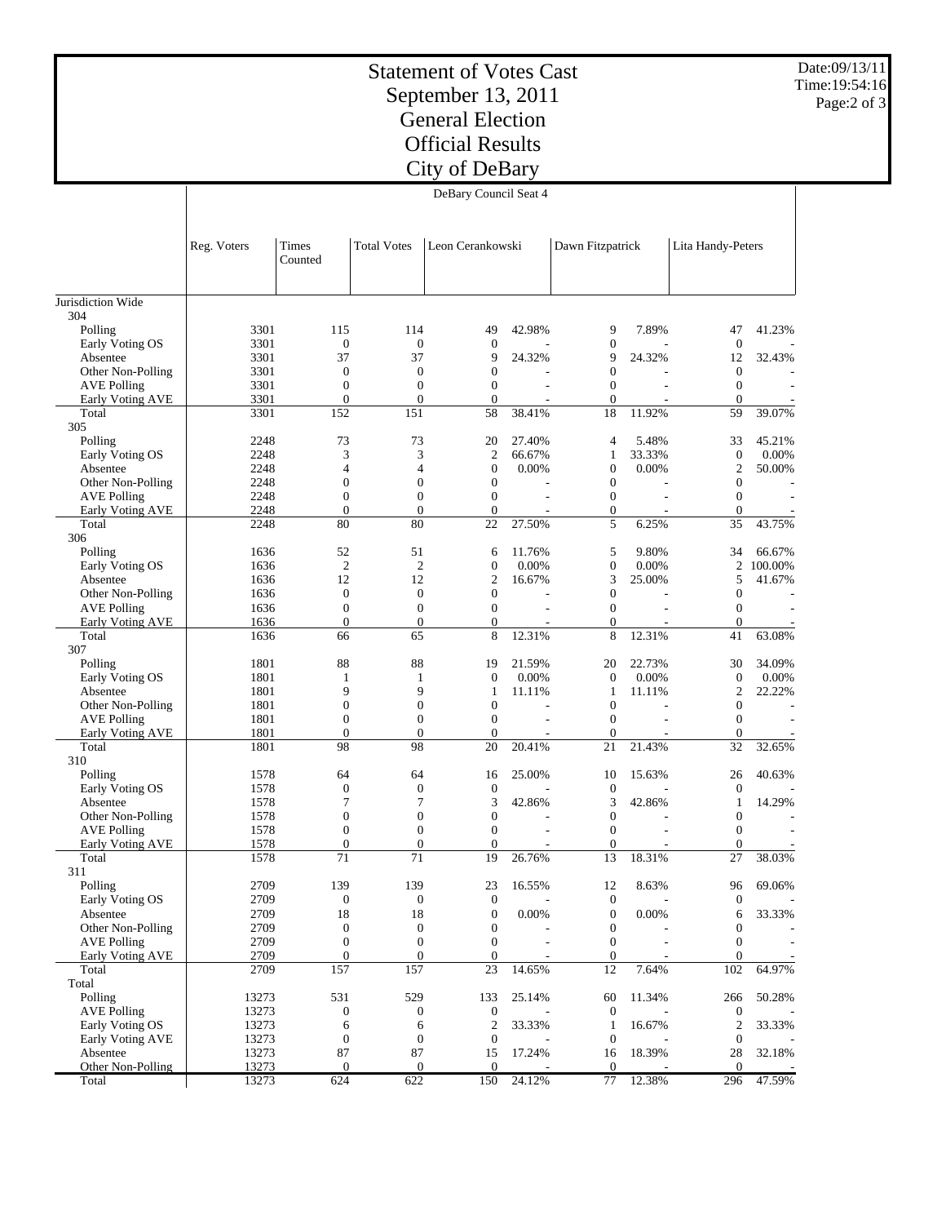## Statement of Votes Cast September 13, 2011 General Election Official Results City of DeBary

Date:09/13/11 Time:19:54:16 Page:2 of 3

|                               | DeBary Council Seat 4 |                        |                        |                                      |                |                                      |        |                                    |                 |
|-------------------------------|-----------------------|------------------------|------------------------|--------------------------------------|----------------|--------------------------------------|--------|------------------------------------|-----------------|
|                               | Reg. Voters           | Times<br>Counted       | <b>Total Votes</b>     | Leon Cerankowski                     |                | Dawn Fitzpatrick                     |        | Lita Handy-Peters                  |                 |
| Jurisdiction Wide             |                       |                        |                        |                                      |                |                                      |        |                                    |                 |
| 304<br>Polling                | 3301                  | 115                    | 114                    | 49                                   | 42.98%         | 9                                    | 7.89%  | 47                                 | 41.23%          |
| Early Voting OS               | 3301                  | $\boldsymbol{0}$       | $\boldsymbol{0}$       | $\boldsymbol{0}$                     |                | $\mathbf{0}$                         |        | $\boldsymbol{0}$                   |                 |
| Absentee                      | 3301                  | 37                     | 37                     | 9                                    | 24.32%         | 9                                    | 24.32% | 12                                 | 32.43%          |
| Other Non-Polling             | 3301                  | $\boldsymbol{0}$       | $\boldsymbol{0}$       | $\boldsymbol{0}$                     |                | $\boldsymbol{0}$                     |        | $\mathbf{0}$                       |                 |
| <b>AVE Polling</b>            | 3301                  | $\overline{0}$         | $\boldsymbol{0}$       | $\boldsymbol{0}$                     | ÷              | $\boldsymbol{0}$                     |        | $\boldsymbol{0}$                   |                 |
| Early Voting AVE              | 3301                  | $\overline{0}$         | $\mathbf{0}$           | $\overline{0}$                       |                | $\overline{0}$                       |        | $\overline{0}$                     |                 |
| Total                         | 3301                  | 152                    | 151                    | 58                                   | 38.41%         | 18                                   | 11.92% | 59                                 | 39.07%          |
| 305                           |                       |                        |                        |                                      |                |                                      |        |                                    |                 |
| Polling                       | 2248                  | 73                     | 73                     | 20                                   | 27.40%         | 4                                    | 5.48%  | 33                                 | 45.21%          |
| Early Voting OS               | 2248<br>2248          | 3<br>4                 | 3<br>4                 | $\mathbf{2}$<br>$\boldsymbol{0}$     | 66.67%         | 1<br>$\boldsymbol{0}$                | 33.33% | $\boldsymbol{0}$<br>$\overline{c}$ | 0.00%<br>50.00% |
| Absentee<br>Other Non-Polling | 2248                  | $\boldsymbol{0}$       | $\boldsymbol{0}$       | $\boldsymbol{0}$                     | 0.00%          | $\boldsymbol{0}$                     | 0.00%  | $\boldsymbol{0}$                   |                 |
| <b>AVE Polling</b>            | 2248                  | $\boldsymbol{0}$       | $\boldsymbol{0}$       | $\boldsymbol{0}$                     | ÷.             | $\boldsymbol{0}$                     |        | $\boldsymbol{0}$                   |                 |
| Early Voting AVE              | 2248                  | $\overline{0}$         | $\mathbf{0}$           | $\mathbf{0}$                         |                | $\mathbf{0}$                         |        | $\overline{0}$                     |                 |
| Total                         | 2248                  | 80                     | 80                     | 22                                   | 27.50%         | 5                                    | 6.25%  | 35                                 | 43.75%          |
| 306                           |                       |                        |                        |                                      |                |                                      |        |                                    |                 |
| Polling                       | 1636                  | 52                     | 51                     | 6                                    | 11.76%         | 5                                    | 9.80%  | 34                                 | 66.67%          |
| Early Voting OS               | 1636                  | $\overline{2}$         | $\mathfrak{2}$         | $\boldsymbol{0}$                     | 0.00%          | $\boldsymbol{0}$                     | 0.00%  | $\overline{c}$                     | 100.00%         |
| Absentee                      | 1636                  | 12                     | 12                     | $\mathbf{2}$                         | 16.67%         | 3                                    | 25.00% | 5                                  | 41.67%          |
| Other Non-Polling             | 1636                  | $\boldsymbol{0}$       | $\boldsymbol{0}$       | $\mathbf{0}$                         |                | $\boldsymbol{0}$                     |        | $\boldsymbol{0}$                   |                 |
| <b>AVE Polling</b>            | 1636                  | $\boldsymbol{0}$       | $\boldsymbol{0}$       | $\boldsymbol{0}$                     | ÷.             | $\boldsymbol{0}$                     |        | $\boldsymbol{0}$                   |                 |
| Early Voting AVE              | 1636                  | $\overline{0}$         | $\boldsymbol{0}$       | $\mathbf{0}$                         |                | $\overline{0}$                       |        | $\overline{0}$                     |                 |
| Total                         | 1636                  | 66                     | 65                     | 8                                    | 12.31%         | 8                                    | 12.31% | 41                                 | 63.08%          |
| 307<br>Polling                | 1801                  | 88                     | 88                     | 19                                   | 21.59%         | 20                                   | 22.73% | 30                                 | 34.09%          |
| Early Voting OS               | 1801                  | 1                      | 1                      | $\boldsymbol{0}$                     | 0.00%          | $\boldsymbol{0}$                     | 0.00%  | $\boldsymbol{0}$                   | 0.00%           |
| Absentee                      | 1801                  | 9                      | 9                      | $\mathbf{1}$                         | 11.11%         | 1                                    | 11.11% | $\overline{c}$                     | 22.22%          |
| Other Non-Polling             | 1801                  | $\boldsymbol{0}$       | $\boldsymbol{0}$       | $\boldsymbol{0}$                     |                | $\boldsymbol{0}$                     |        | $\boldsymbol{0}$                   |                 |
| <b>AVE Polling</b>            | 1801                  | $\boldsymbol{0}$       | $\boldsymbol{0}$       | $\boldsymbol{0}$                     | $\overline{a}$ | $\boldsymbol{0}$                     |        | $\boldsymbol{0}$                   |                 |
| Early Voting AVE              | 1801                  | $\overline{0}$         | $\mathbf{0}$           | $\overline{0}$                       |                | $\overline{0}$                       |        | $\overline{0}$                     |                 |
| Total                         | 1801                  | 98                     | 98                     | 20                                   | 20.41%         | 21                                   | 21.43% | 32                                 | 32.65%          |
| 310                           |                       |                        |                        |                                      |                |                                      |        |                                    |                 |
| Polling                       | 1578                  | 64                     | 64                     | 16                                   | 25.00%         | 10                                   | 15.63% | 26                                 | 40.63%          |
| Early Voting OS               | 1578                  | $\boldsymbol{0}$       | $\boldsymbol{0}$       | $\boldsymbol{0}$                     |                | $\boldsymbol{0}$                     |        | $\boldsymbol{0}$                   |                 |
| Absentee                      | 1578                  | 7                      | $\tau$                 | 3                                    | 42.86%         | 3                                    | 42.86% | 1                                  | 14.29%          |
| Other Non-Polling             | 1578                  | $\overline{0}$         | $\boldsymbol{0}$       | $\mathbf{0}$                         |                | $\boldsymbol{0}$                     |        | $\boldsymbol{0}$                   |                 |
| <b>AVE Polling</b>            | 1578                  | $\boldsymbol{0}$       | $\boldsymbol{0}$       | $\boldsymbol{0}$                     | ÷              | $\boldsymbol{0}$                     |        | $\boldsymbol{0}$                   |                 |
| Early Voting AVE              | 1578                  | $\overline{0}$         | $\mathbf{0}$           | $\overline{0}$                       |                | $\overline{0}$                       |        | $\overline{0}$                     |                 |
| Total                         | 1578                  | 71                     | 71                     | 19                                   | 26.76%         | 13                                   | 18.31% | 27                                 | 38.03%          |
| 311                           |                       |                        |                        |                                      |                |                                      |        |                                    |                 |
| Polling<br>Early Voting OS    | 2709<br>2709          | 139                    | 139                    | 23                                   | 16.55%         | 12                                   | 8.63%  | 96                                 | 69.06%          |
| Absentee                      | 2709                  | $\boldsymbol{0}$<br>18 | $\boldsymbol{0}$<br>18 | $\boldsymbol{0}$<br>$\boldsymbol{0}$ | 0.00%          | $\boldsymbol{0}$<br>$\boldsymbol{0}$ | 0.00%  | $\boldsymbol{0}$<br>6              | 33.33%          |
| Other Non-Polling             | 2709                  | $\boldsymbol{0}$       | $\boldsymbol{0}$       | $\mathbf{0}$                         |                | $\boldsymbol{0}$                     |        | $\boldsymbol{0}$                   |                 |
| <b>AVE Polling</b>            | 2709                  | $\boldsymbol{0}$       | $\boldsymbol{0}$       | $\mathbf{0}$                         |                | $\boldsymbol{0}$                     |        | $\boldsymbol{0}$                   |                 |
| Early Voting AVE              | 2709                  | $\mathbf{0}$           | $\boldsymbol{0}$       | $\mathbf{0}$                         |                | $\boldsymbol{0}$                     |        | $\boldsymbol{0}$                   |                 |
| Total                         | 2709                  | 157                    | 157                    | 23                                   | 14.65%         | 12                                   | 7.64%  | 102                                | 64.97%          |
| Total                         |                       |                        |                        |                                      |                |                                      |        |                                    |                 |
| Polling                       | 13273                 | 531                    | 529                    | 133                                  | 25.14%         | 60                                   | 11.34% | 266                                | 50.28%          |
| <b>AVE Polling</b>            | 13273                 | $\boldsymbol{0}$       | $\boldsymbol{0}$       | $\mathbf{0}$                         |                | $\mathbf{0}$                         |        | $\boldsymbol{0}$                   |                 |
| Early Voting OS               | 13273                 | 6                      | 6                      | $\overline{2}$                       | 33.33%         | 1                                    | 16.67% | $\mathfrak{2}$                     | 33.33%          |
| <b>Early Voting AVE</b>       | 13273                 | $\boldsymbol{0}$       | $\boldsymbol{0}$       | $\mathbf{0}$                         |                | $\mathbf{0}$                         |        | $\boldsymbol{0}$                   |                 |
| Absentee                      | 13273                 | 87                     | 87                     | 15                                   | 17.24%         | 16                                   | 18.39% | 28                                 | 32.18%          |
| Other Non-Polling             | 13273                 | $\mathbf{0}$           | $\mathbf{0}$           | $\mathbf{0}$                         |                | $\theta$                             |        | $\mathbf{0}$                       |                 |
| Total                         | 13273                 | 624                    | 622                    | 150                                  | 24.12%         | 77                                   | 12.38% | 296                                | 47.59%          |